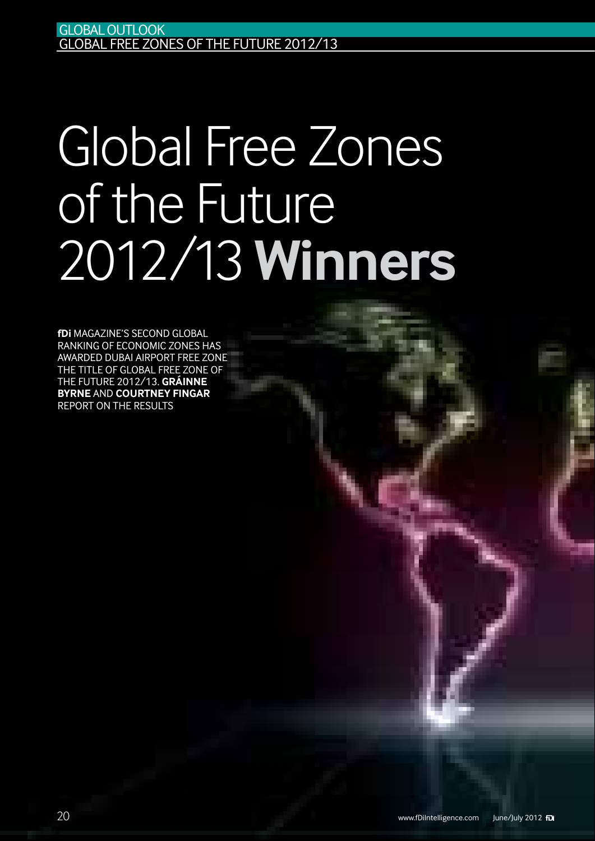# Global Free Zones of the Future 2012/13 **Winners**

**fDi** Magazine's second global ranking of economic zones has awarded Dubai Airport Free Zone the title of Global Free Zone of the Future 2012/13. **Gráinne Byrne** and **Courtney Fingar** report on the results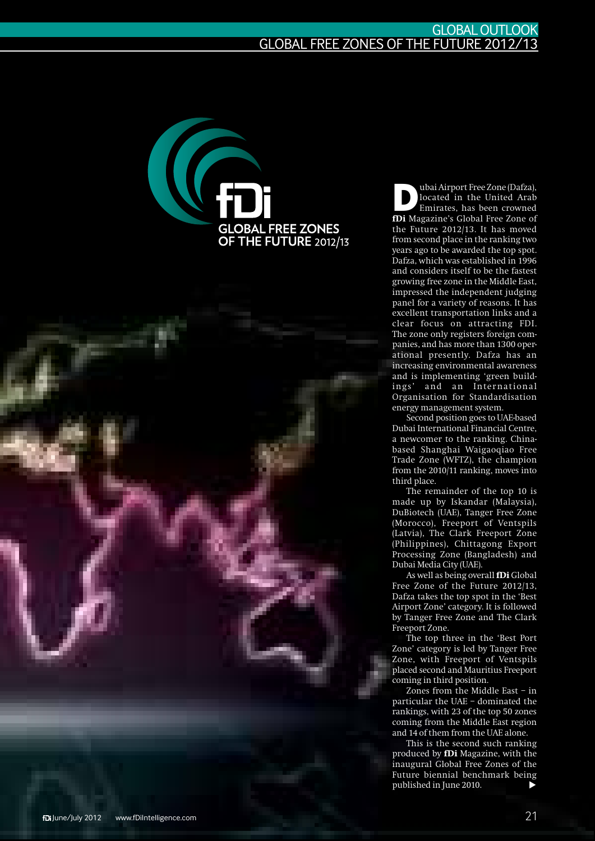

**D**ubai Airport Free Zone (Dafza),<br>located in the United Arab<br>Emirates, has been crowned located in the United Arab Emirates, has been crowned **fDi** Magazine's Global Free Zone of the Future 2012/13. It has moved from second place in the ranking two years ago to be awarded the top spot. Dafza, which was established in 1996 and considers itself to be the fastest growing free zone in the Middle East, impressed the independent judging panel for a variety of reasons. It has excellent transportation links and a clear focus on attracting FDI. The zone only registers foreign companies, and has more than 1300 operational presently. Dafza has an increasing environmental awareness and is implementing 'green buildings' and an International Organisation for Standardisation energy management system.

Second position goes to UAE-based Dubai International Financial Centre, a newcomer to the ranking. Chinabased Shanghai Waigaoqiao Free Trade Zone (WFTZ), the champion from the 2010/11 ranking, moves into third place.

The remainder of the top 10 is made up by Iskandar (Malaysia), DuBiotech (UAE), Tanger Free Zone (Morocco), Freeport of Ventspils (Latvia), The Clark Freeport Zone (Philippines), Chittagong Export Processing Zone (Bangladesh) and Dubai Media City (UAE).

As well as being overall **fDi** Global Free Zone of the Future 2012/13, Dafza takes the top spot in the 'Best Airport Zone' category. It is followed by Tanger Free Zone and The Clark Freeport Zone.

The top three in the 'Best Port Zone' category is led by Tanger Free Zone, with Freeport of Ventspils placed second and Mauritius Freeport coming in third position.

Zones from the Middle East – in particular the UAE – dominated the rankings, with 23 of the top 50 zones coming from the Middle East region and 14 of them from the UAE alone.

This is the second such ranking produced by **fDi** Magazine, with the inaugural Global Free Zones of the Future biennial benchmark being published in June 2010.  $\blacktriangleright$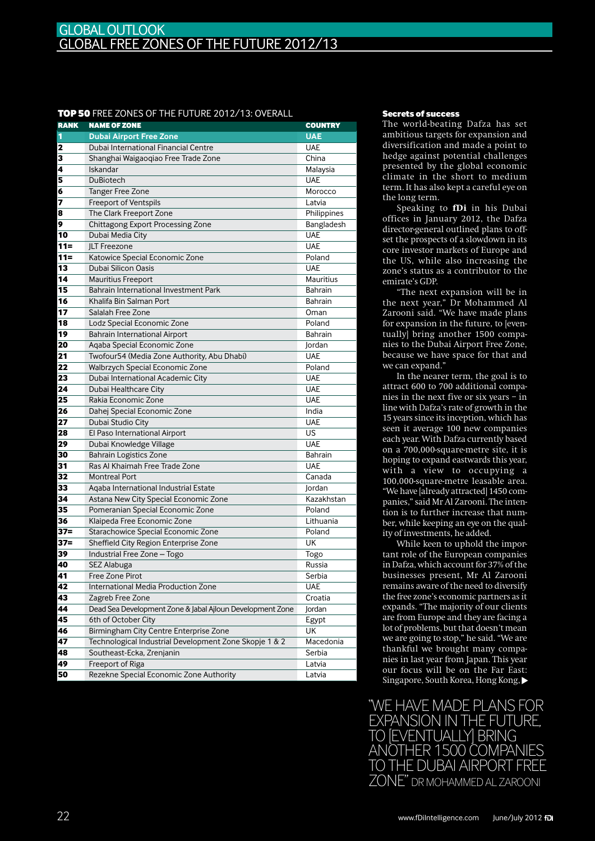### TOP 50 FREE ZONES OF THE FUTURE 2012/13: OVERALL Secrets of success

| <b>RANK</b>     | <b>NAME OF ZONE</b>                                       | <b>COUNTRY</b> |
|-----------------|-----------------------------------------------------------|----------------|
| 1               | <b>Dubai Airport Free Zone</b>                            | <b>UAE</b>     |
| 2               | Dubai International Financial Centre                      | <b>UAE</b>     |
| 3               | Shanghai Waigaoqiao Free Trade Zone                       | China          |
| 4               | Iskandar                                                  | Malaysia       |
| 5               | <b>DuBiotech</b>                                          | <b>UAE</b>     |
| 6               | <b>Tanger Free Zone</b>                                   | Morocco        |
| 7               | Freeport of Ventspils                                     | Latvia         |
| 8               | The Clark Freeport Zone                                   | Philippines    |
| 9               | <b>Chittagong Export Processing Zone</b>                  | Bangladesh     |
| 10              | Dubai Media City                                          | <b>UAE</b>     |
| $11 =$          | <b>ILT Freezone</b>                                       | <b>UAE</b>     |
| $11 =$          | Katowice Special Economic Zone                            | Poland         |
| 13              | Dubai Silicon Oasis                                       | <b>UAE</b>     |
| 14              | <b>Mauritius Freeport</b>                                 | Mauritius      |
| 15              | Bahrain International Investment Park                     | <b>Bahrain</b> |
| 16              | Khalifa Bin Salman Port                                   | <b>Bahrain</b> |
| 17              | Salalah Free Zone                                         | Oman           |
| 18              | Lodz Special Economic Zone                                | Poland         |
| 19              | <b>Bahrain International Airport</b>                      | <b>Bahrain</b> |
| 20              | Aqaba Special Economic Zone                               | Jordan         |
| 21              | Twofour54 (Media Zone Authority, Abu Dhabi)               | <b>UAE</b>     |
| 22              | Walbrzych Special Economic Zone                           | Poland         |
| 23              | Dubai International Academic City                         | <b>UAE</b>     |
| 24              | Dubai Healthcare City                                     | <b>UAE</b>     |
| 25              | Rakia Economic Zone                                       | <b>UAE</b>     |
| 26              | Dahej Special Economic Zone                               | India          |
| 27              | Dubai Studio City                                         | <b>UAE</b>     |
| 28              | El Paso International Airport                             | US             |
| 29              | Dubai Knowledge Village                                   | <b>UAE</b>     |
| 30              | <b>Bahrain Logistics Zone</b>                             | Bahrain        |
| 31              | Ras Al Khaimah Free Trade Zone                            | <b>UAE</b>     |
| 32              | <b>Montreal Port</b>                                      | Canada         |
| 33              | Aqaba International Industrial Estate                     | Jordan         |
| 34              | Astana New City Special Economic Zone                     | Kazakhstan     |
| 35              | Pomeranian Special Economic Zone                          | Poland         |
| 36              | Klaipeda Free Economic Zone                               | Lithuania      |
| $37 =$          | Starachowice Special Economic Zone                        | Poland         |
| $37 =$          | Sheffield City Region Enterprise Zone                     | <b>UK</b>      |
| 39              | Industrial Free Zone - Togo                               | Togo           |
| 40              | SEZ Alabuga                                               | Russia         |
| 41              | Free Zone Pirot                                           | Serbia         |
| 42              | International Media Production Zone                       | <b>UAE</b>     |
| $\overline{43}$ | Zagreb Free Zone                                          | Croatia        |
| 44              | Dead Sea Development Zone & Jabal Ajloun Development Zone | Jordan         |
| 45              | 6th of October City                                       | Egypt          |
| 46              | Birmingham City Centre Enterprise Zone                    | UK             |
| 47              | Technological Industrial Development Zone Skopje 1 & 2    | Macedonia      |
| 48              | Southeast-Ecka, Zrenjanin                                 | Serbia         |
| 49              | Freeport of Riga                                          | Latvia         |
| 50              | Rezekne Special Economic Zone Authority                   | Latvia         |

The world-beating Dafza has set ambitious targets for expansion and diversification and made a point to hedge against potential challenges presented by the global economic climate in the short to medium term. It has also kept a careful eye on the long term.

Speaking to **fDi** in his Dubai offices in January 2012, the Dafza director-general outlined plans to offset the prospects of a slowdown in its core investor markets of Europe and the US, while also increasing the zone's status as a contributor to the emirate's GDP.

"The next expansion will be in the next year," Dr Mohammed Al Zarooni said. "We have made plans for expansion in the future, to [eventually] bring another 1500 companies to the Dubai Airport Free Zone, because we have space for that and we can expand."

In the nearer term, the goal is to attract 600 to 700 additional companies in the next five or six years – in line with Dafza's rate of growth in the 15 years since its inception, which has seen it average 100 new companies each year. With Dafza currently based on a 700,000-square-metre site, it is hoping to expand eastwards this year, with a view to occupying a 100,000-square-metre leasable area. "We have [already attracted] 1450 companies," said Mr Al Zarooni. The intention is to further increase that number, while keeping an eye on the quality of investments, he added.

While keen to uphold the important role of the European companies in Dafza, which account for 37% of the businesses present, Mr Al Zarooni remains aware of the need to diversify the free zone's economic partners as it expands. "The majority of our clients are from Europe and they are facing a lot of problems, but that doesn't mean we are going to stop," he said. "We are thankful we brought many companies in last year from Japan. This year our focus will be on the Far East: Singapore, South Korea, Hong Kong,  $\blacktriangleright$ 

"We have made plans for expansion in the future, IEVENTUALLYI BRING another 1500 companies THE DUBAI AIRPORT FREE Zone" Dr Mohammed Al Zarooni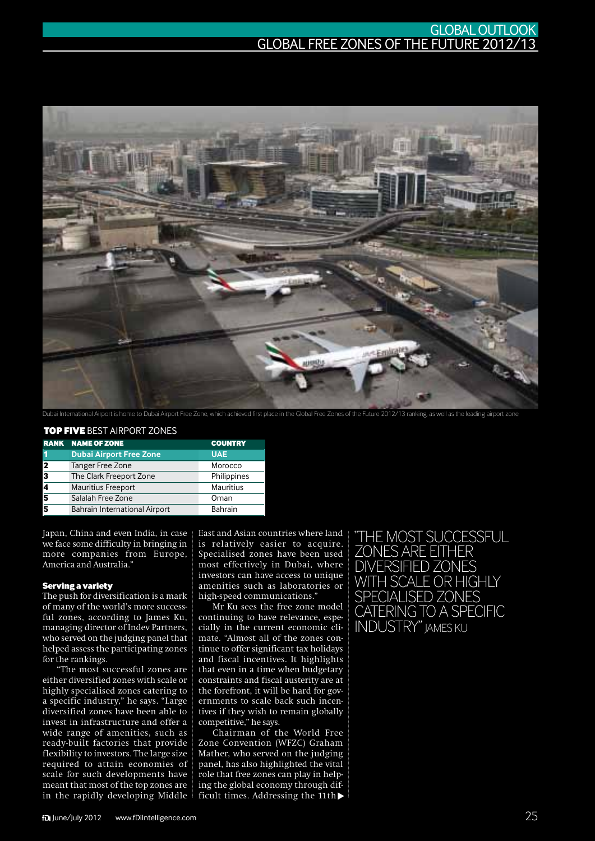### GLOBALOutlook GLOBAL FREE ZONES OF THE FUTURE 2012/13



Dubai International Airport is home to Dubai Airport Free Zone, which achieved first place in the Global Free Zones of the Future 2012/13 ranking, as well as the leading airport zone

### top five best Airport zones

|                         | <b>RANK NAME OF ZONE</b>             | <b>COUNTRY</b> |
|-------------------------|--------------------------------------|----------------|
| и                       | <b>Dubai Airport Free Zone</b>       | <b>UAE</b>     |
| $\overline{\mathbf{2}}$ | Tanger Free Zone                     | Morocco        |
| 3                       | The Clark Freeport Zone              | Philippines    |
|                         | <b>Mauritius Freeport</b>            | Mauritius      |
| 5                       | Salalah Free Zone                    | Oman           |
|                         | <b>Bahrain International Airport</b> | Bahrain        |

Japan, China and even India, in case we face some difficulty in bringing in more companies from Europe, America and Australia."

### Serving a variety

The push for diversification is a mark of many of the world's more successful zones, according to James Ku, managing director of Indev Partners, who served on the judging panel that helped assess the participating zones for the rankings.

"The most successful zones are either diversified zones with scale or highly specialised zones catering to a specific industry," he says. "Large diversified zones have been able to invest in infrastructure and offer a wide range of amenities, such as ready-built factories that provide flexibility to investors. The large size required to attain economies of scale for such developments have meant that most of the top zones are in the rapidly developing Middle East and Asian countries where land is relatively easier to acquire. Specialised zones have been used most effectively in Dubai, where investors can have access to unique amenities such as laboratories or high-speed communications."

Mr Ku sees the free zone model continuing to have relevance, especially in the current economic climate. "Almost all of the zones continue to offer significant tax holidays and fiscal incentives. It highlights that even in a time when budgetary constraints and fiscal austerity are at the forefront, it will be hard for governments to scale back such incentives if they wish to remain globally competitive," he says.

Chairman of the World Free Zone Convention (WFZC) Graham Mather, who served on the judging panel, has also highlighted the vital role that free zones can play in helping the global economy through difficult times. Addressing the  $11th$ 

"The most successful zones are either diversified zones with scale or highly specialised zones catering to a specific INDUSTRY" JAMES KU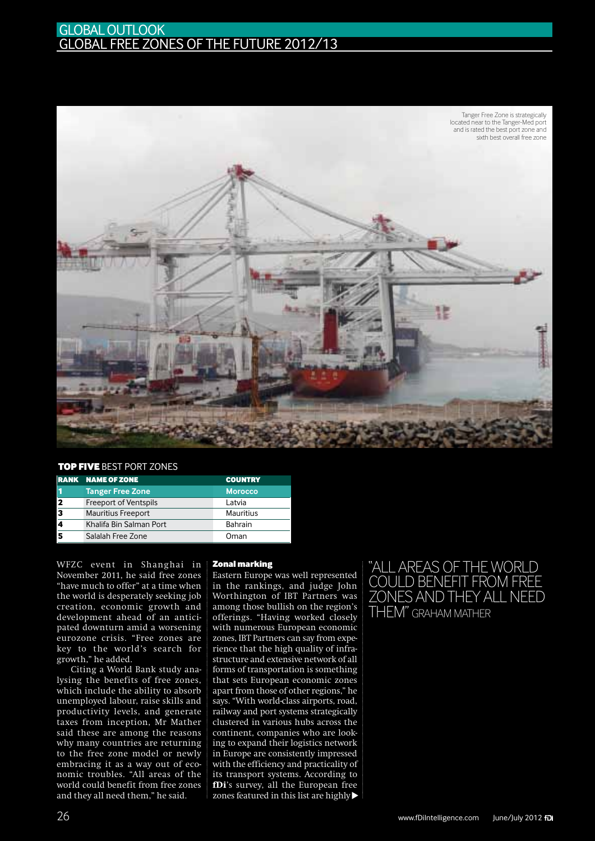### **GLOBAL OUTLOOK** GLOBAL FREE ZONES OF THE FUTURE 2012/13



### top five best port zones

|                         | <b>RANK NAME OF ZONE</b>     | <b>COUNTRY</b> |
|-------------------------|------------------------------|----------------|
|                         | <b>Tanger Free Zone</b>      | <b>Morocco</b> |
| $\overline{\mathbf{2}}$ | <b>Freeport of Ventspils</b> | Latvia         |
| 3                       | <b>Mauritius Freeport</b>    | Mauritius      |
|                         | Khalifa Bin Salman Port      | Bahrain        |
|                         | Salalah Free Zone            | Oman           |

WFZC event in Shanghai in November 2011, he said free zones "have much to offer" at a time when the world is desperately seeking job creation, economic growth and development ahead of an anticipated downturn amid a worsening eurozone crisis. "Free zones are key to the world's search for growth," he added.

Citing a World Bank study analysing the benefits of free zones, which include the ability to absorb unemployed labour, raise skills and productivity levels, and generate taxes from inception, Mr Mather said these are among the reasons why many countries are returning to the free zone model or newly embracing it as a way out of economic troubles. "All areas of the world could benefit from free zones and they all need them," he said.

### Zonal marking

Eastern Europe was well represented in the rankings, and judge John Worthington of IBT Partners was among those bullish on the region's offerings. "Having worked closely with numerous European economic zones, IBT Partners can say from experience that the high quality of infrastructure and extensive network of all forms of transportation is something that sets European economic zones apart from those of other regions," he says. "With world-class airports, road, railway and port systems strategically clustered in various hubs across the continent, companies who are looking to expand their logistics network in Europe are consistently impressed with the efficiency and practicality of its transport systems. According to **fDi**'s survey, all the European free zones featured in this list are highly t

## "All areas of the world could benefit from free zones and they all need them" Graham Mather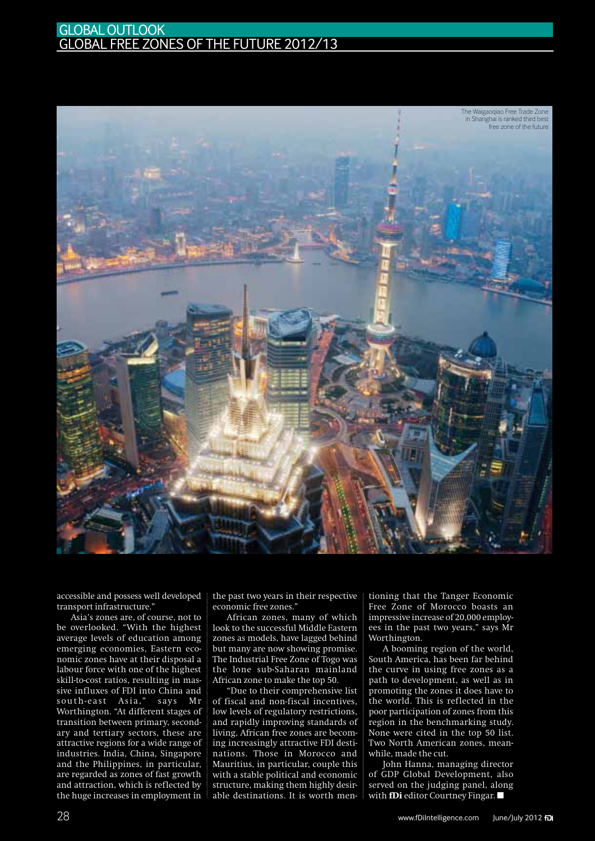### **GLOBAL OUTLOOK** GLOBAL FREE ZONES OF THE FUTURE 2012/13



transport infrastructure."

accessible and possess well developed the past two years in their respective tioning that the Tanger Economic free zones."<br>
Free Zone of Morocco boasts and African zones commic free zones." Free Zone of Morocco boasts and Asia's zones are, of course, not to be overlooked. "With the highest average levels of education among emerging economies, Eastern economic zones have at their disposal a labour force with one of the highest skill-to-cost ratios, resulting in massive influxes of FDI into China and south-east Asia," says Mr Worthington. "At different stages of transition between primary, secondary and tertiary sectors, these are attractive regions for a wide range of industries. India, China, Singapore and the Philippines, in particular, are regarded as zones of fast growth and attraction, which is reflected by the huge increases in employment in

the past two years in their respective economic free zones."

African zones, many of which look to the successful Middle Eastern zones as models, have lagged behind but many are now showing promise. The Industrial Free Zone of Togo was the lone sub-Saharan mainland African zone to make the top 50.

"Due to their comprehensive list of fiscal and non-fiscal incentives, low levels of regulatory restrictions, and rapidly improving standards of living, African free zones are becoming increasingly attractive FDI destinations. Those in Morocco and Mauritius, in particular, couple this with a stable political and economic structure, making them highly desirable destinations. It is worth mentioning that the Tanger Economic Free Zone of Morocco boasts an impressive increase of 20,000 employees in the past two years," says Mr Worthington.

A booming region of the world, South America, has been far behind the curve in using free zones as a path to development, as well as in promoting the zones it does have to the world. This is reflected in the poor participation of zones from this region in the benchmarking study. None were cited in the top 50 list. Two North American zones, meanwhile, made the cut.

John Hanna, managing director of GDP Global Development, also served on the judging panel, along with **fDi** editor Courtney Fingar.  $\blacksquare$